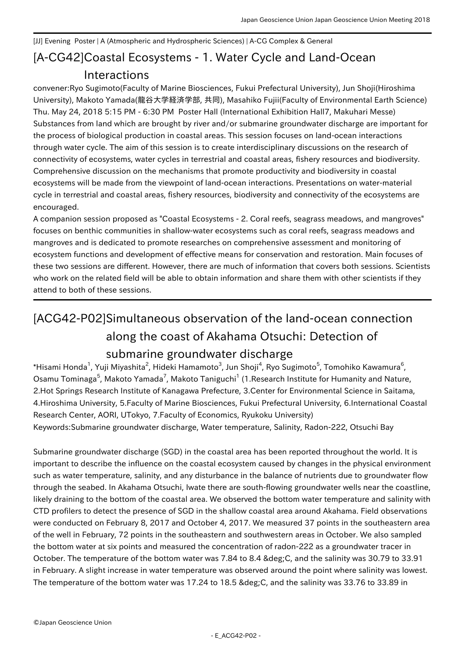## [A-CG42] Coastal Ecosystems - 1. Water Cycle and Land-Ocean [JJ] Evening Poster | A (Atmospheric and Hydrospheric Sciences) | A-CG Complex & General Interactions

convener:Ryo Sugimoto(Faculty of Marine Biosciences, Fukui Prefectural University), Jun Shoji(Hiroshima University), Makoto Yamada(龍谷大学経済学部, 共同), Masahiko Fujii(Faculty of Environmental Earth Science) Thu. May 24, 2018 5:15 PM - 6:30 PM Poster Hall (International Exhibition Hall7, Makuhari Messe) Substances from land which are brought by river and/or submarine groundwater discharge are important for the process of biological production in coastal areas. This session focuses on land-ocean interactions through water cycle. The aim of this session is to create interdisciplinary discussions on the research of connectivity of ecosystems, water cycles in terrestrial and coastal areas, fishery resources and biodiversity. Comprehensive discussion on the mechanisms that promote productivity and biodiversity in coastal ecosystems will be made from the viewpoint of land-ocean interactions. Presentations on water-material cycle in terrestrial and coastal areas, fishery resources, biodiversity and connectivity of the ecosystems are encouraged.

A companion session proposed as "Coastal Ecosystems - 2. Coral reefs, seagrass meadows, and mangroves" focuses on benthic communities in shallow-water ecosystems such as coral reefs, seagrass meadows and mangroves and is dedicated to promote researches on comprehensive assessment and monitoring of ecosystem functions and development of effective means for conservation and restoration. Main focuses of these two sessions are different. However, there are much of information that covers both sessions. Scientists who work on the related field will be able to obtain information and share them with other scientists if they attend to both of these sessions.

## [ACG42-P02] Simultaneous observation of the land-ocean connection along the coast of Akahama Otsuchi: Detection of submarine groundwater discharge

 $^*$ Hisami Honda $^1$ , Yuji Miyashita $^2$ , Hideki Hamamoto $^3$ , Jun Shoji $^4$ , Ryo Sugimoto $^5$ , Tomohiko Kawamura $^6$ , Osamu Tominaga<sup>5</sup>, Makoto Yamada<sup>7</sup>, Makoto Taniguchi<sup>1</sup> (1.Research Institute for Humanity and Nature, 2.Hot Springs Research Institute of Kanagawa Prefecture, 3.Center for Environmental Science in Saitama, 4.Hiroshima University, 5.Faculty of Marine Biosciences, Fukui Prefectural University, 6.International Coastal Research Center, AORI, UTokyo, 7.Faculty of Economics, Ryukoku University) Keywords:Submarine groundwater discharge, Water temperature, Salinity, Radon-222, Otsuchi Bay

Submarine groundwater discharge (SGD) in the coastal area has been reported throughout the world. It is important to describe the influence on the coastal ecosystem caused by changes in the physical environment such as water temperature, salinity, and any disturbance in the balance of nutrients due to groundwater flow through the seabed. In Akahama Otsuchi, Iwate there are south-flowing groundwater wells near the coastline, likely draining to the bottom of the coastal area. We observed the bottom water temperature and salinity with CTD profilers to detect the presence of SGD in the shallow coastal area around Akahama. Field observations were conducted on February 8, 2017 and October 4, 2017. We measured 37 points in the southeastern area of the well in February, 72 points in the southeastern and southwestern areas in October. We also sampled the bottom water at six points and measured the concentration of radon-222 as a groundwater tracer in October. The temperature of the bottom water was 7.84 to 8.4 & deg; C, and the salinity was 30.79 to 33.91 in February. A slight increase in water temperature was observed around the point where salinity was lowest. The temperature of the bottom water was 17.24 to 18.5 °C, and the salinity was 33.76 to 33.89 in